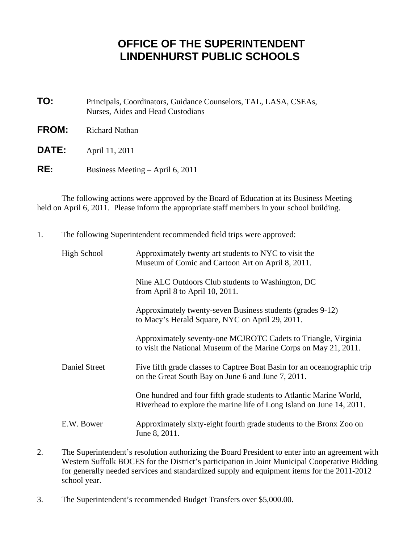## **OFFICE OF THE SUPERINTENDENT LINDENHURST PUBLIC SCHOOLS**

- **TO:** Principals, Coordinators, Guidance Counselors, TAL, LASA, CSEAs, Nurses, Aides and Head Custodians
- **FROM:** Richard Nathan
- **DATE:** April 11, 2011
- **RE:** Business Meeting April 6, 2011

 The following actions were approved by the Board of Education at its Business Meeting held on April 6, 2011. Please inform the appropriate staff members in your school building.

1. The following Superintendent recommended field trips were approved:

| High School   | Approximately twenty art students to NYC to visit the<br>Museum of Comic and Cartoon Art on April 8, 2011.                                   |
|---------------|----------------------------------------------------------------------------------------------------------------------------------------------|
|               | Nine ALC Outdoors Club students to Washington, DC<br>from April 8 to April 10, 2011.                                                         |
|               | Approximately twenty-seven Business students (grades 9-12)<br>to Macy's Herald Square, NYC on April 29, 2011.                                |
|               | Approximately seventy-one MCJROTC Cadets to Triangle, Virginia<br>to visit the National Museum of the Marine Corps on May 21, 2011.          |
| Daniel Street | Five fifth grade classes to Captree Boat Basin for an oceanographic trip<br>on the Great South Bay on June 6 and June 7, 2011.               |
|               | One hundred and four fifth grade students to Atlantic Marine World,<br>Riverhead to explore the marine life of Long Island on June 14, 2011. |
| E.W. Bower    | Approximately sixty-eight fourth grade students to the Bronx Zoo on<br>June 8, 2011.                                                         |

- 2. The Superintendent's resolution authorizing the Board President to enter into an agreement with Western Suffolk BOCES for the District's participation in Joint Municipal Cooperative Bidding for generally needed services and standardized supply and equipment items for the 2011-2012 school year.
- 3. The Superintendent's recommended Budget Transfers over \$5,000.00.